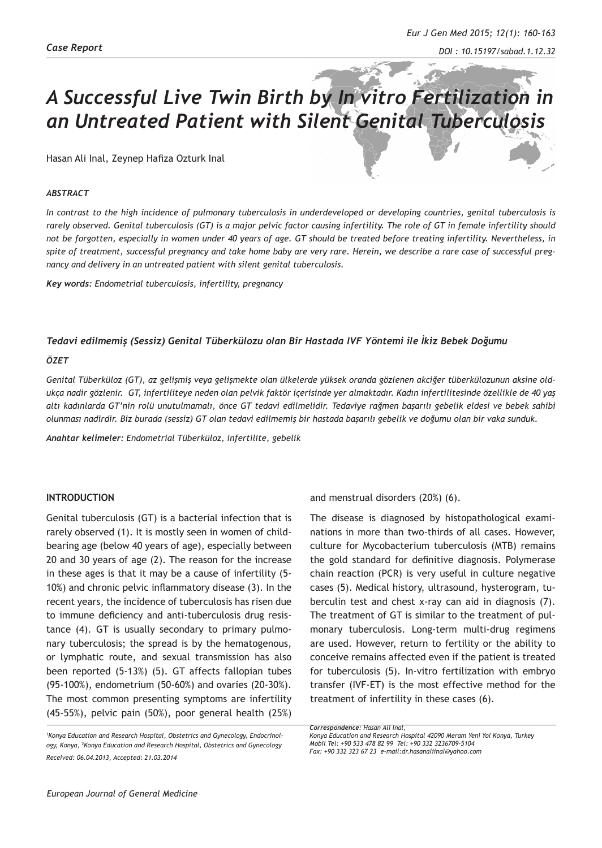# *A Successful Live Twin Birth by In vitro Fertilization in an Untreated Patient with Silent Genital Tuberculosis*

Hasan Ali Inal, Zeynep Hafiza Ozturk Inal

### *ABSTRACT*

*In contrast to the high incidence of pulmonary tuberculosis in underdeveloped or developing countries, genital tuberculosis is rarely observed. Genital tuberculosis (GT) is a major pelvic factor causing infertility. The role of GT in female infertility should not be forgotten, especially in women under 40 years of age. GT should be treated before treating infertility. Nevertheless, in spite of treatment, successful pregnancy and take home baby are very rare. Herein, we describe a rare case of successful pregnancy and delivery in an untreated patient with silent genital tuberculosis.*

*Key words: Endometrial tuberculosis, infertility, pregnancy*

### *Tedavi edilmemiş (Sessiz) Genital Tüberkülozu olan Bir Hastada IVF Yöntemi ile İkiz Bebek Doğumu*

#### *ÖZET*

*Genital Tüberküloz (GT), az gelişmiş veya gelişmekte olan ülkelerde yüksek oranda gözlenen akciğer tüberkülozunun aksine oldukça nadir gözlenir. GT, infertiliteye neden olan pelvik faktör içerisinde yer almaktadır. Kadın infertilitesinde özellikle de 40 yaş altı kadınlarda GT'nin rolü unutulmamalı, önce GT tedavi edilmelidir. Tedaviye rağmen başarılı gebelik eldesi ve bebek sahibi olunması nadirdir. Biz burada (sessiz) GT olan tedavi edilmemiş bir hastada başarılı gebelik ve doğumu olan bir vaka sunduk.*

*Anahtar kelimeler: Endometrial Tüberküloz, infertilite, gebelik* 

## **INTRODUCTION**

Genital tuberculosis (GT) is a bacterial infection that is rarely observed (1). It is mostly seen in women of childbearing age (below 40 years of age), especially between 20 and 30 years of age (2). The reason for the increase in these ages is that it may be a cause of infertility (5- 10%) and chronic pelvic inflammatory disease (3). In the recent years, the incidence of tuberculosis has risen due to immune deficiency and anti-tuberculosis drug resistance (4). GT is usually secondary to primary pulmonary tuberculosis; the spread is by the hematogenous, or lymphatic route, and sexual transmission has also been reported (5-13%) (5). GT affects fallopian tubes (95-100%), endometrium (50-60%) and ovaries (20-30%). The most common presenting symptoms are infertility (45-55%), pelvic pain (50%), poor general health (25%) and menstrual disorders (20%) (6).

The disease is diagnosed by histopathological examinations in more than two-thirds of all cases. However, culture for Mycobacterium tuberculosis (MTB) remains the gold standard for definitive diagnosis. Polymerase chain reaction (PCR) is very useful in culture negative cases (5). Medical history, ultrasound, hysterogram, tuberculin test and chest x-ray can aid in diagnosis (7). The treatment of GT is similar to the treatment of pulmonary tuberculosis. Long-term multi-drug regimens are used. However, return to fertility or the ability to conceive remains affected even if the patient is treated for tuberculosis (5). In-vitro fertilization with embryo transfer (IVF-ET) is the most effective method for the treatment of infertility in these cases (6).

*<sup>1</sup> Konya Education and Research Hospital, Obstetrics and Gynecology, Endocrinology, Konya, <sup>2</sup> Konya Education and Research Hospital, Obstetrics and Gynecology Received: 06.04.2013, Accepted: 21.03.2014*

*Correspondence: Hasan Ali Inal,* 

*Konya Education and Research Hospital 42090 Meram Yeni Yol Konya, Turkey Mobil Tel: +90 533 478 82 99 Tel: +90 332 3236709-5104 Fax: +90 332 323 67 23 e-mail:dr.hasanaliinal@yahoo.com*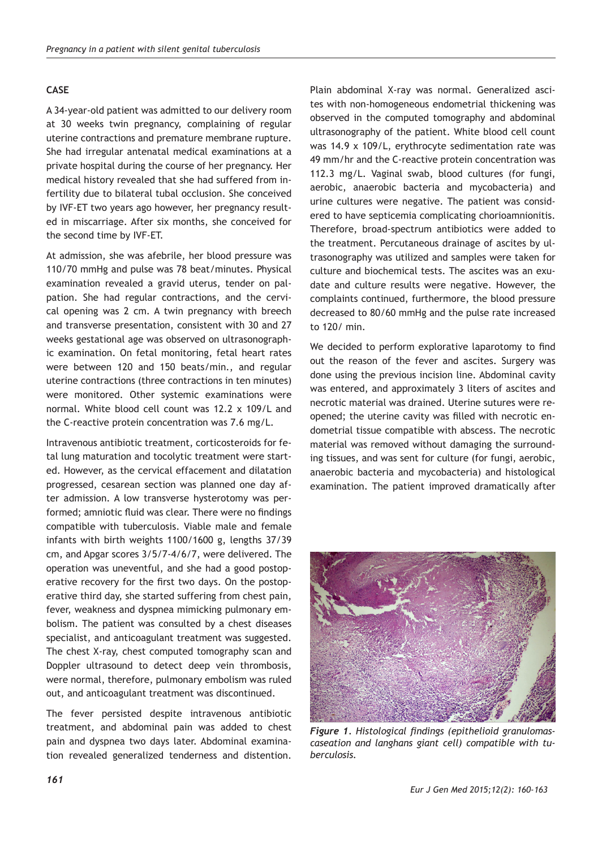## **CASE**

A 34-year-old patient was admitted to our delivery room at 30 weeks twin pregnancy, complaining of regular uterine contractions and premature membrane rupture. She had irregular antenatal medical examinations at a private hospital during the course of her pregnancy. Her medical history revealed that she had suffered from infertility due to bilateral tubal occlusion. She conceived by IVF-ET two years ago however, her pregnancy resulted in miscarriage. After six months, she conceived for the second time by IVF-ET.

At admission, she was afebrile, her blood pressure was 110/70 mmHg and pulse was 78 beat/minutes. Physical examination revealed a gravid uterus, tender on palpation. She had regular contractions, and the cervical opening was 2 cm. A twin pregnancy with breech and transverse presentation, consistent with 30 and 27 weeks gestational age was observed on ultrasonographic examination. On fetal monitoring, fetal heart rates were between 120 and 150 beats/min., and regular uterine contractions (three contractions in ten minutes) were monitored. Other systemic examinations were normal. White blood cell count was 12.2 x 109/L and the C-reactive protein concentration was 7.6 mg/L.

Intravenous antibiotic treatment, corticosteroids for fetal lung maturation and tocolytic treatment were started. However, as the cervical effacement and dilatation progressed, cesarean section was planned one day after admission. A low transverse hysterotomy was performed; amniotic fluid was clear. There were no findings compatible with tuberculosis. Viable male and female infants with birth weights 1100/1600 g, lengths 37/39 cm, and Apgar scores 3/5/7-4/6/7, were delivered. The operation was uneventful, and she had a good postoperative recovery for the first two days. On the postoperative third day, she started suffering from chest pain, fever, weakness and dyspnea mimicking pulmonary embolism. The patient was consulted by a chest diseases specialist, and anticoagulant treatment was suggested. The chest X-ray, chest computed tomography scan and Doppler ultrasound to detect deep vein thrombosis, were normal, therefore, pulmonary embolism was ruled out, and anticoagulant treatment was discontinued.

The fever persisted despite intravenous antibiotic treatment, and abdominal pain was added to chest pain and dyspnea two days later. Abdominal examination revealed generalized tenderness and distention.

Plain abdominal X-ray was normal. Generalized ascites with non-homogeneous endometrial thickening was observed in the computed tomography and abdominal ultrasonography of the patient. White blood cell count was 14.9 x 109/L, erythrocyte sedimentation rate was 49 mm/hr and the C-reactive protein concentration was 112.3 mg/L. Vaginal swab, blood cultures (for fungi, aerobic, anaerobic bacteria and mycobacteria) and urine cultures were negative. The patient was considered to have septicemia complicating chorioamnionitis. Therefore, broad-spectrum antibiotics were added to the treatment. Percutaneous drainage of ascites by ultrasonography was utilized and samples were taken for culture and biochemical tests. The ascites was an exudate and culture results were negative. However, the complaints continued, furthermore, the blood pressure decreased to 80/60 mmHg and the pulse rate increased to 120/ min.

We decided to perform explorative laparotomy to find out the reason of the fever and ascites. Surgery was done using the previous incision line. Abdominal cavity was entered, and approximately 3 liters of ascites and necrotic material was drained. Uterine sutures were reopened; the uterine cavity was filled with necrotic endometrial tissue compatible with abscess. The necrotic material was removed without damaging the surrounding tissues, and was sent for culture (for fungi, aerobic, anaerobic bacteria and mycobacteria) and histological examination. The patient improved dramatically after



*Figure 1. Histological findings (epithelioid granulomascaseation and langhans giant cell) compatible with tuberculosis.*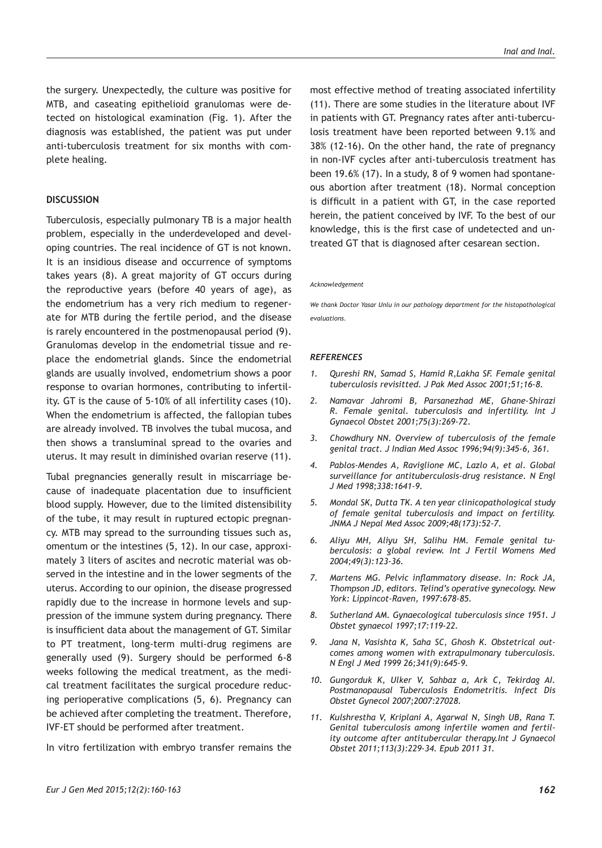the surgery. Unexpectedly, the culture was positive for MTB, and caseating epithelioid granulomas were detected on histological examination (Fig. 1). After the diagnosis was established, the patient was put under anti-tuberculosis treatment for six months with complete healing.

#### **DISCUSSION**

Tuberculosis, especially pulmonary TB is a major health problem, especially in the underdeveloped and developing countries. The real incidence of GT is not known. It is an insidious disease and occurrence of symptoms takes years (8). A great majority of GT occurs during the reproductive years (before 40 years of age), as the endometrium has a very rich medium to regenerate for MTB during the fertile period, and the disease is rarely encountered in the postmenopausal period (9). Granulomas develop in the endometrial tissue and replace the endometrial glands. Since the endometrial glands are usually involved, endometrium shows a poor response to ovarian hormones, contributing to infertility. GT is the cause of 5-10% of all infertility cases (10). When the endometrium is affected, the fallopian tubes are already involved. TB involves the tubal mucosa, and then shows a transluminal spread to the ovaries and uterus. It may result in diminished ovarian reserve (11).

Tubal pregnancies generally result in miscarriage because of inadequate placentation due to insufficient blood supply. However, due to the limited distensibility of the tube, it may result in ruptured ectopic pregnancy. MTB may spread to the surrounding tissues such as, omentum or the intestines (5, 12). In our case, approximately 3 liters of ascites and necrotic material was observed in the intestine and in the lower segments of the uterus. According to our opinion, the disease progressed rapidly due to the increase in hormone levels and suppression of the immune system during pregnancy. There is insufficient data about the management of GT. Similar to PT treatment, long-term multi-drug regimens are generally used (9). Surgery should be performed 6-8 weeks following the medical treatment, as the medical treatment facilitates the surgical procedure reducing perioperative complications (5, 6). Pregnancy can be achieved after completing the treatment. Therefore, IVF-ET should be performed after treatment.

In vitro fertilization with embryo transfer remains the

most effective method of treating associated infertility (11). There are some studies in the literature about IVF in patients with GT. Pregnancy rates after anti-tuberculosis treatment have been reported between 9.1% and 38% (12-16). On the other hand, the rate of pregnancy in non-IVF cycles after anti-tuberculosis treatment has been 19.6% (17). In a study, 8 of 9 women had spontaneous abortion after treatment (18). Normal conception is difficult in a patient with GT, in the case reported herein, the patient conceived by IVF. To the best of our knowledge, this is the first case of undetected and untreated GT that is diagnosed after cesarean section.

#### *Acknowledgement*

*We thank Doctor Yasar Unlu in our pathology department for the histopathological evaluations.*

#### *REFERENCES*

- *1. Qureshi RN, Samad S, Hamid R,Lakha SF. Female genital tuberculosis revisitted. J Pak Med Assoc 2001;51;16-8.*
- *2. Namavar Jahromi B, Parsanezhad ME, Ghane-Shirazi R. Female genital. tuberculosis and infertility. Int J Gynaecol Obstet 2001;75(3):269-72.*
- *3. Chowdhury NN. Overview of tuberculosis of the female genital tract. J Indian Med Assoc 1996;94(9):345-6, 361.*
- *4. Pablos-Mendes A, Raviglione MC, Lazlo A, et al. Global surveillance for antituberculosis-drug resistance. N Engl J Med 1998;338:1641-9.*
- *5. Mondal SK, Dutta TK. A ten year clinicopathological study of female genital tuberculosis and impact on fertility. JNMA J Nepal Med Assoc 2009;48(173):52-7.*
- *6. Aliyu MH, Aliyu SH, Salihu HM. Female genital tuberculosis: a global review. Int J Fertil Womens Med 2004;49(3):123-36.*
- *7. Martens MG. Pelvic inflammatory disease. In: Rock JA, Thompson JD, editors. Telind's operative gynecology. New York: Lippincot-Raven, 1997:678-85.*
- *8. Sutherland AM. Gynaecological tuberculosis since 1951. J Obstet gynaecol 1997;17:119-22.*
- *9. Jana N, Vasishta K, Saha SC, Ghosh K. Obstetrical outcomes among women with extrapulmonary tuberculosis. N Engl J Med 1999 26;341(9):645-9.*
- *10. Gungorduk K, Ulker V, Sahbaz a, Ark C, Tekirdag AI. Postmanopausal Tuberculosis Endometritis. Infect Dis Obstet Gynecol 2007;2007:27028.*
- *11. Kulshrestha V, Kriplani A, Agarwal N, Singh UB, Rana T. Genital tuberculosis among infertile women and fertility outcome after antitubercular therapy.Int J Gynaecol Obstet 2011;113(3):229-34. Epub 2011 31.*